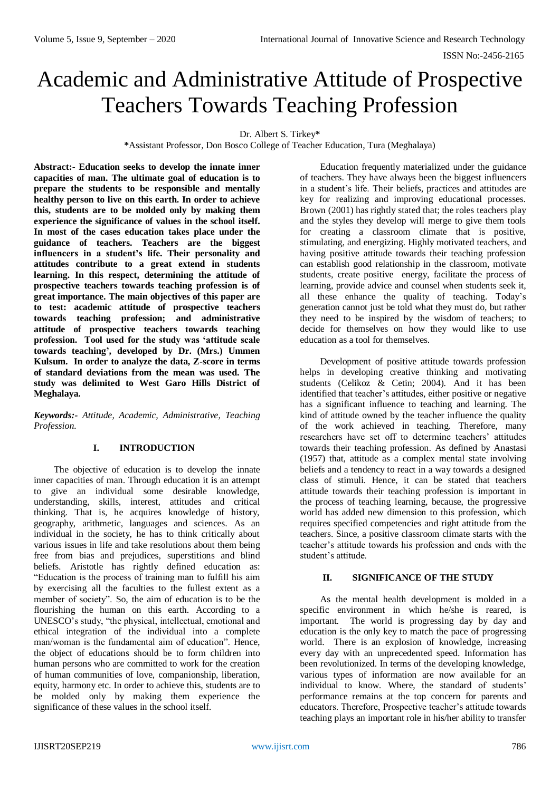# Academic and Administrative Attitude of Prospective Teachers Towards Teaching Profession

Dr. Albert S. Tirkey**\***

**\***Assistant Professor, Don Bosco College of Teacher Education, Tura (Meghalaya)

**Abstract:- Education seeks to develop the innate inner capacities of man. The ultimate goal of education is to prepare the students to be responsible and mentally healthy person to live on this earth. In order to achieve this, students are to be molded only by making them experience the significance of values in the school itself. In most of the cases education takes place under the guidance of teachers. Teachers are the biggest influencers in a student's life. Their personality and attitudes contribute to a great extend in students learning. In this respect, determining the attitude of prospective teachers towards teaching profession is of great importance. The main objectives of this paper are to test: academic attitude of prospective teachers towards teaching profession; and administrative attitude of prospective teachers towards teaching profession. Tool used for the study was 'attitude scale towards teaching', developed by Dr. (Mrs.) Ummen Kulsum. In order to analyze the data, Z-score in terms of standard deviations from the mean was used. The study was delimited to West Garo Hills District of Meghalaya.**

*Keywords:- Attitude, Academic, Administrative, Teaching Profession.*

# **I. INTRODUCTION**

The objective of education is to develop the innate inner capacities of man. Through education it is an attempt to give an individual some desirable knowledge, understanding, skills, interest, attitudes and critical thinking. That is, he acquires knowledge of history, geography, arithmetic, languages and sciences. As an individual in the society, he has to think critically about various issues in life and take resolutions about them being free from bias and prejudices, superstitions and blind beliefs. Aristotle has rightly defined education as: "Education is the process of training man to fulfill his aim by exercising all the faculties to the fullest extent as a member of society". So, the aim of education is to be the flourishing the human on this earth. According to a UNESCO's study, "the physical, intellectual, emotional and ethical integration of the individual into a complete man/woman is the fundamental aim of education". Hence, the object of educations should be to form children into human persons who are committed to work for the creation of human communities of love, companionship, liberation, equity, harmony etc. In order to achieve this, students are to be molded only by making them experience the significance of these values in the school itself.

Education frequently materialized under the guidance of teachers. They have always been the biggest influencers in a student's life. Their beliefs, practices and attitudes are key for realizing and improving educational processes. Brown (2001) has rightly stated that; the roles teachers play and the styles they develop will merge to give them tools for creating a classroom climate that is positive, stimulating, and energizing. Highly motivated teachers, and having positive attitude towards their teaching profession can establish good relationship in the classroom, motivate students, create positive energy, facilitate the process of learning, provide advice and counsel when students seek it, all these enhance the quality of teaching. Today's generation cannot just be told what they must do, but rather they need to be inspired by the wisdom of teachers; to decide for themselves on how they would like to use education as a tool for themselves.

Development of positive attitude towards profession helps in developing creative thinking and motivating students (Celikoz & Cetin; 2004). And it has been identified that teacher's attitudes, either positive or negative has a significant influence to teaching and learning. The kind of attitude owned by the teacher influence the quality of the work achieved in teaching. Therefore, many researchers have set off to determine teachers' attitudes towards their teaching profession. As defined by Anastasi (1957) that, attitude as a complex mental state involving beliefs and a tendency to react in a way towards a designed class of stimuli. Hence, it can be stated that teachers attitude towards their teaching profession is important in the process of teaching learning, because, the progressive world has added new dimension to this profession, which requires specified competencies and right attitude from the teachers. Since, a positive classroom climate starts with the teacher's attitude towards his profession and ends with the student's attitude.

# **II. SIGNIFICANCE OF THE STUDY**

As the mental health development is molded in a specific environment in which he/she is reared, is important. The world is progressing day by day and education is the only key to match the pace of progressing world. There is an explosion of knowledge, increasing every day with an unprecedented speed. Information has been revolutionized. In terms of the developing knowledge, various types of information are now available for an individual to know. Where, the standard of students' performance remains at the top concern for parents and educators. Therefore, Prospective teacher's attitude towards teaching plays an important role in his/her ability to transfer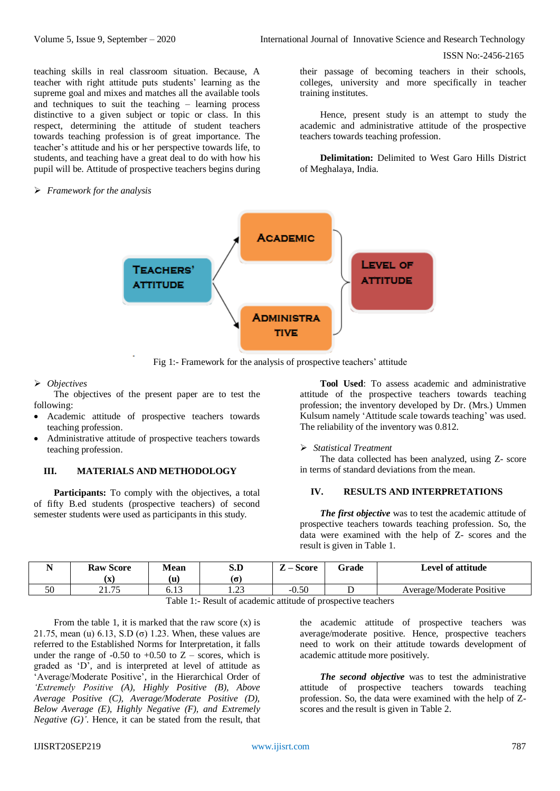ISSN No:-2456-2165

teaching skills in real classroom situation. Because, A teacher with right attitude puts students' learning as the supreme goal and mixes and matches all the available tools and techniques to suit the teaching – learning process distinctive to a given subject or topic or class. In this respect, determining the attitude of student teachers towards teaching profession is of great importance. The teacher's attitude and his or her perspective towards life, to students, and teaching have a great deal to do with how his pupil will be. Attitude of prospective teachers begins during

#### *Framework for the analysis*

their passage of becoming teachers in their schools, colleges, university and more specifically in teacher training institutes.

Hence, present study is an attempt to study the academic and administrative attitude of the prospective teachers towards teaching profession.

**Delimitation:** Delimited to West Garo Hills District of Meghalaya, India.



Fig 1:- Framework for the analysis of prospective teachers' attitude

#### *Objectives*

The objectives of the present paper are to test the following:

- Academic attitude of prospective teachers towards teaching profession.
- Administrative attitude of prospective teachers towards teaching profession.

## **III. MATERIALS AND METHODOLOGY**

Participants: To comply with the objectives, a total of fifty B.ed students (prospective teachers) of second semester students were used as participants in this study.

**Tool Used**: To assess academic and administrative attitude of the prospective teachers towards teaching profession; the inventory developed by Dr. (Mrs.) Ummen Kulsum namely 'Attitude scale towards teaching' was used. The reliability of the inventory was 0.812.

#### *Statistical Treatment*

The data collected has been analyzed, using Z- score in terms of standard deviations from the mean.

# **IV. RESULTS AND INTERPRETATIONS**

*The first objective* was to test the academic attitude of prospective teachers towards teaching profession. So, the data were examined with the help of Z- scores and the result is given in Table 1.

| $ -$ | <b>Raw Score</b> | Mean   | S.D             | -<br><b>Score</b> | Grade | Level of attitude         |
|------|------------------|--------|-----------------|-------------------|-------|---------------------------|
|      | . А              | (u     | 'ດ:             |                   |       |                           |
| 50   | 2175             | 0. I J | $\cap$<br>ر _ ب | $-0.50$           |       | Average/Moderate Positive |
|      |                  | ---    | $\sim$          | .                 |       |                           |

Table 1:- Result of academic attitude of prospective teachers

From the table 1, it is marked that the raw score  $(x)$  is 21.75, mean (u)  $6.13$ , S.D (σ) 1.23. When, these values are referred to the Established Norms for Interpretation, it falls under the range of -0.50 to +0.50 to  $Z$  – scores, which is graded as 'D', and is interpreted at level of attitude as 'Average/Moderate Positive', in the Hierarchical Order of *'Extremely Positive (A), Highly Positive (B), Above Average Positive (C), Average/Moderate Positive (D), Below Average (E), Highly Negative (F), and Extremely Negative (G)'*. Hence, it can be stated from the result, that the academic attitude of prospective teachers was average/moderate positive. Hence, prospective teachers need to work on their attitude towards development of academic attitude more positively.

*The second objective* was to test the administrative attitude of prospective teachers towards teaching profession. So, the data were examined with the help of Zscores and the result is given in Table 2.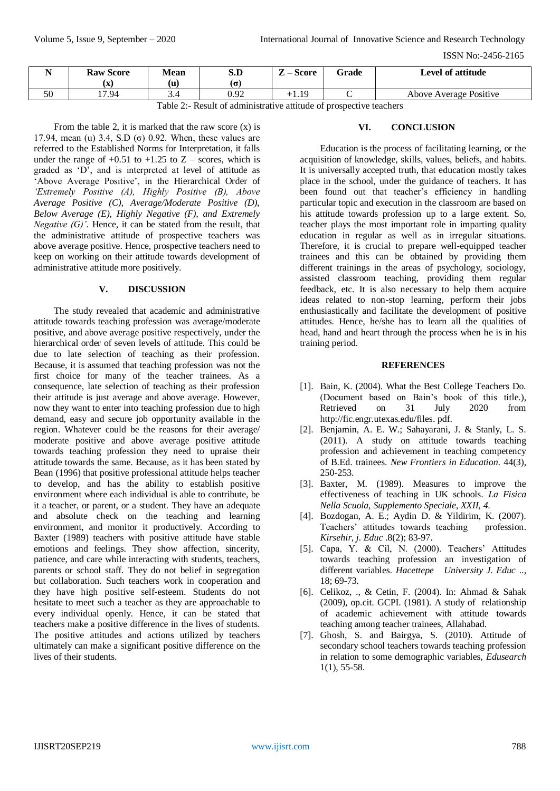ISSN No:-2456-2165

|                     | <b>Raw Score</b> | <b>Mean</b><br>(u) | S.D<br>۱σ | <b>Score</b><br>п. | Grade | Level of attitude      |
|---------------------|------------------|--------------------|-----------|--------------------|-------|------------------------|
| $\sim$ $\sim$<br>эu | ιΔ<br>17.94      |                    | 0.92      | $+1.19$            |       | Above Average Positive |

Table 2:- Result of administrative attitude of prospective teachers

From the table 2, it is marked that the raw score  $(x)$  is 17.94, mean (u) 3.4, S.D (σ) 0.92. When, these values are referred to the Established Norms for Interpretation, it falls under the range of  $+0.51$  to  $+1.25$  to  $Z$  – scores, which is graded as 'D', and is interpreted at level of attitude as 'Above Average Positive', in the Hierarchical Order of *'Extremely Positive (A), Highly Positive (B), Above Average Positive (C), Average/Moderate Positive (D), Below Average (E), Highly Negative (F), and Extremely Negative (G)'*. Hence, it can be stated from the result, that the administrative attitude of prospective teachers was above average positive. Hence, prospective teachers need to keep on working on their attitude towards development of administrative attitude more positively.

# **V. DISCUSSION**

The study revealed that academic and administrative attitude towards teaching profession was average/moderate positive, and above average positive respectively, under the hierarchical order of seven levels of attitude. This could be due to late selection of teaching as their profession. Because, it is assumed that teaching profession was not the first choice for many of the teacher trainees. As a consequence, late selection of teaching as their profession their attitude is just average and above average. However, now they want to enter into teaching profession due to high demand, easy and secure job opportunity available in the region. Whatever could be the reasons for their average/ moderate positive and above average positive attitude towards teaching profession they need to upraise their attitude towards the same. Because, as it has been stated by Bean (1996) that positive professional attitude helps teacher to develop, and has the ability to establish positive environment where each individual is able to contribute, be it a teacher, or parent, or a student. They have an adequate and absolute check on the teaching and learning environment, and monitor it productively. According to Baxter (1989) teachers with positive attitude have stable emotions and feelings. They show affection, sincerity, patience, and care while interacting with students, teachers, parents or school staff. They do not belief in segregation but collaboration. Such teachers work in cooperation and they have high positive self-esteem. Students do not hesitate to meet such a teacher as they are approachable to every individual openly. Hence, it can be stated that teachers make a positive difference in the lives of students. The positive attitudes and actions utilized by teachers ultimately can make a significant positive difference on the lives of their students.

# **VI. CONCLUSION**

Education is the process of facilitating learning, or the acquisition of knowledge, skills, values, beliefs, and habits. It is universally accepted truth, that education mostly takes place in the school, under the guidance of teachers. It has been found out that teacher's efficiency in handling particular topic and execution in the classroom are based on his attitude towards profession up to a large extent. So, teacher plays the most important role in imparting quality education in regular as well as in irregular situations. Therefore, it is crucial to prepare well-equipped teacher trainees and this can be obtained by providing them different trainings in the areas of psychology, sociology, assisted classroom teaching, providing them regular feedback, etc. It is also necessary to help them acquire ideas related to non-stop learning, perform their jobs enthusiastically and facilitate the development of positive attitudes. Hence, he/she has to learn all the qualities of head, hand and heart through the process when he is in his training period.

## **REFERENCES**

- [1]. Bain, K. (2004). What the Best College Teachers Do. (Document based on Bain's book of this title.), Retrieved on 31 July 2020 from [http://fic.engr.utexas.edu/files.](http://fic.engr.utexas.edu/files) pdf.
- [2]. Benjamin, A. E. W.; Sahayarani, J. & Stanly, L. S. (2011). A study on attitude towards teaching profession and achievement in teaching competency of B.Ed. trainees. *New Frontiers in Education*. 44(3), 250-253.
- [3]. Baxter, M. (1989). Measures to improve the effectiveness of teaching in UK schools. *La Fisica Nella Scuola, Supplemento Speciale*, *XXII, 4*.
- [4]. Bozdogan, A. E.; Aydin D. & Yildirim, K. (2007). Teachers' attitudes towards teaching profession. *Kirsehir, j. Educ* .8(2); 83-97.
- [5]. Capa, Y. & Cil, N. (2000). Teachers' Attitudes towards teaching profession an investigation of different variables. *Hacettepe University J. Educ* .., 18; 69-73.
- [6]. Celikoz, ., & Cetin, F. (2004). In: Ahmad & Sahak (2009), op.cit. GCPI. (1981). A study of relationship of academic achievement with attitude towards teaching among teacher trainees, Allahabad.
- [7]. Ghosh, S. and Bairgya, S. (2010). Attitude of secondary school teachers towards teaching profession in relation to some demographic variables, *Edusearch*  1(1), 55-58.